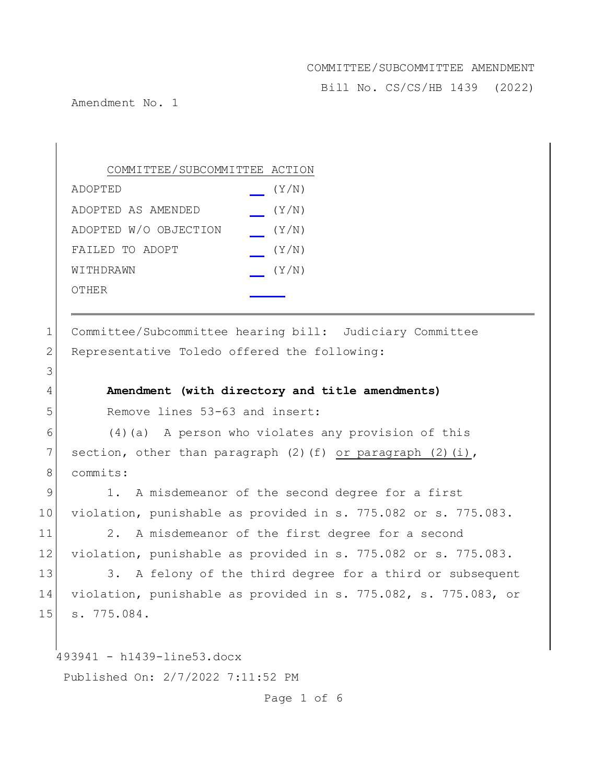Bill No. CS/CS/HB 1439 (2022)

Amendment No. 1

3

| COMMITTEE/SUBCOMMITTEE ACTION |       |
|-------------------------------|-------|
| ADOPTED                       | (Y/N) |
| ADOPTED AS AMENDED            | (Y/N) |
| ADOPTED W/O OBJECTION         | (Y/N) |
| FAILED TO ADOPT               | (Y/N) |
| WITHDRAWN                     | (Y/N) |
| OTHER                         |       |

1 Committee/Subcommittee hearing bill: Judiciary Committee 2 Representative Toledo offered the following:

## 4 **Amendment (with directory and title amendments)**

5 Remove lines 53-63 and insert:

 $6$  (4)(a) A person who violates any provision of this 7 section, other than paragraph  $(2)$  (f) or paragraph  $(2)$  (i), 8 commits:

9 1. A misdemeanor of the second degree for a first 10 violation, punishable as provided in s. 775.082 or s. 775.083.

11 2. A misdemeanor of the first degree for a second 12 violation, punishable as provided in s. 775.082 or s. 775.083.

13 3. A felony of the third degree for a third or subsequent 14 violation, punishable as provided in s. 775.082, s. 775.083, or 15 s. 775.084.

493941 - h1439-line53.docx

Published On: 2/7/2022 7:11:52 PM

Page 1 of 6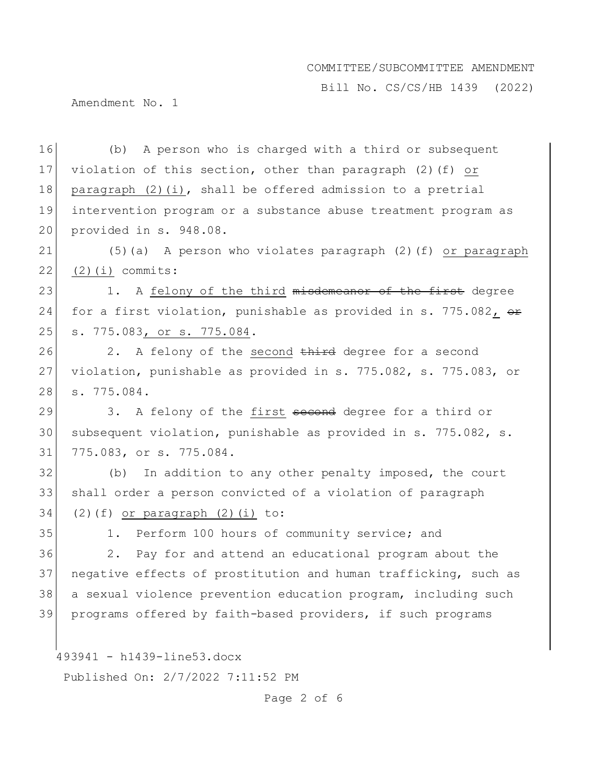Bill No. CS/CS/HB 1439 (2022)

Amendment No. 1

16 (b) A person who is charged with a third or subsequent 17 violation of this section, other than paragraph (2)(f) or 18 paragraph  $(2)(i)$ , shall be offered admission to a pretrial 19 intervention program or a substance abuse treatment program as 20 provided in s. 948.08. 21 (5)(a) A person who violates paragraph (2)(f) or paragraph  $22 | (2)(i)$  commits: 23 1. A felony of the third misdemeanor of the first degree 24 for a first violation, punishable as provided in s. 775.082,  $\theta$ 25 s. 775.083, or s. 775.084.

 $26$  2. A felony of the second third degree for a second 27 violation, punishable as provided in s. 775.082, s. 775.083, or 28 s. 775.084.

29 3. A felony of the first second degree for a third or 30 subsequent violation, punishable as provided in s. 775.082, s. 31 775.083, or s. 775.084.

32 (b) In addition to any other penalty imposed, the court 33 shall order a person convicted of a violation of paragraph  $34$  (2)(f) or paragraph (2)(i) to:

35 1. Perform 100 hours of community service; and

36 2. Pay for and attend an educational program about the 37 negative effects of prostitution and human trafficking, such as 38 a sexual violence prevention education program, including such 39 programs offered by faith-based providers, if such programs

493941 - h1439-line53.docx

Published On: 2/7/2022 7:11:52 PM

Page 2 of 6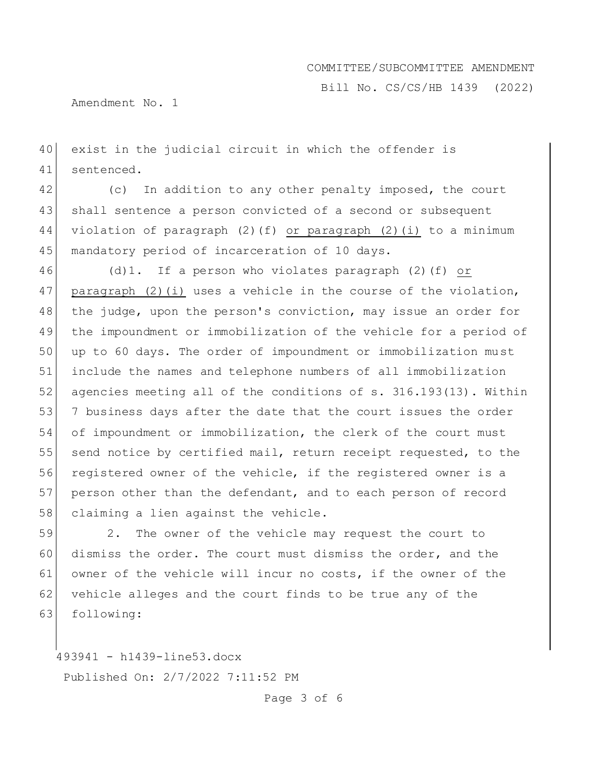Bill No. CS/CS/HB 1439 (2022)

Amendment No. 1

40 exist in the judicial circuit in which the offender is 41 sentenced.

42 (c) In addition to any other penalty imposed, the court 43 shall sentence a person convicted of a second or subsequent 44 violation of paragraph (2)(f) or paragraph (2)(i) to a minimum 45 mandatory period of incarceration of 10 days.

46 (d)1. If a person who violates paragraph (2)(f) or 47 paragraph  $(2)(i)$  uses a vehicle in the course of the violation, 48 the judge, upon the person's conviction, may issue an order for 49 the impoundment or immobilization of the vehicle for a period of 50 up to 60 days. The order of impoundment or immobilization must 51 include the names and telephone numbers of all immobilization 52 agencies meeting all of the conditions of s. 316.193(13). Within 53 7 business days after the date that the court issues the order 54 of impoundment or immobilization, the clerk of the court must 55 send notice by certified mail, return receipt requested, to the 56 registered owner of the vehicle, if the registered owner is a 57 person other than the defendant, and to each person of record 58 claiming a lien against the vehicle.

59 2. The owner of the vehicle may request the court to 60 dismiss the order. The court must dismiss the order, and the 61 owner of the vehicle will incur no costs, if the owner of the 62 vehicle alleges and the court finds to be true any of the 63 following:

493941 - h1439-line53.docx

Published On: 2/7/2022 7:11:52 PM

Page 3 of 6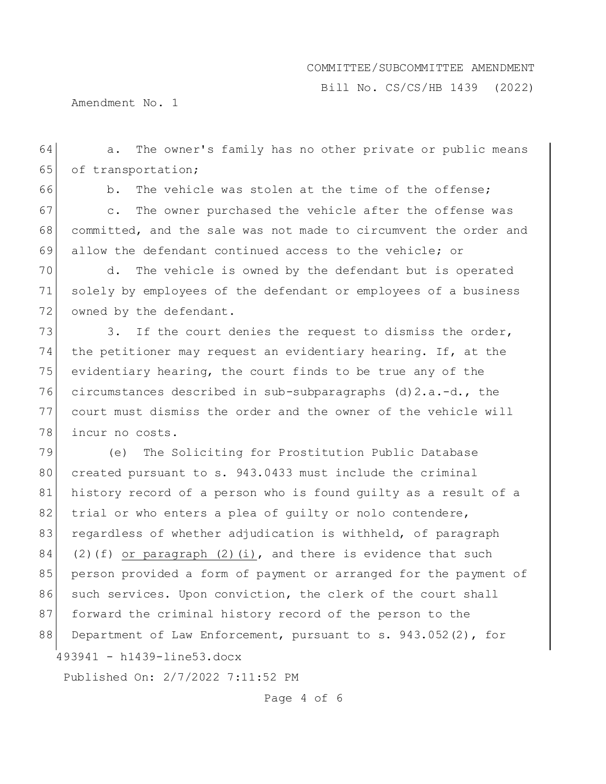Bill No. CS/CS/HB 1439 (2022)

Amendment No. 1

64 a. The owner's family has no other private or public means 65 of transportation;

66 b. The vehicle was stolen at the time of the offense; 67 c. The owner purchased the vehicle after the offense was 68 committed, and the sale was not made to circumvent the order and 69 allow the defendant continued access to the vehicle; or

70 d. The vehicle is owned by the defendant but is operated 71 solely by employees of the defendant or employees of a business 72 owned by the defendant.

73 3. If the court denies the request to dismiss the order, 74 the petitioner may request an evidentiary hearing. If, at the 75 evidentiary hearing, the court finds to be true any of the 76 circumstances described in sub-subparagraphs (d)2.a.-d., the 77 court must dismiss the order and the owner of the vehicle will 78 incur no costs.

493941 - h1439-line53.docx 79 (e) The Soliciting for Prostitution Public Database 80 created pursuant to s. 943.0433 must include the criminal 81 history record of a person who is found guilty as a result of a 82 trial or who enters a plea of guilty or nolo contendere, 83 regardless of whether adjudication is withheld, of paragraph 84 (2)(f) or paragraph (2)(i), and there is evidence that such 85 person provided a form of payment or arranged for the payment of 86 such services. Upon conviction, the clerk of the court shall 87 forward the criminal history record of the person to the 88 Department of Law Enforcement, pursuant to s. 943.052(2), for

Published On: 2/7/2022 7:11:52 PM

Page 4 of 6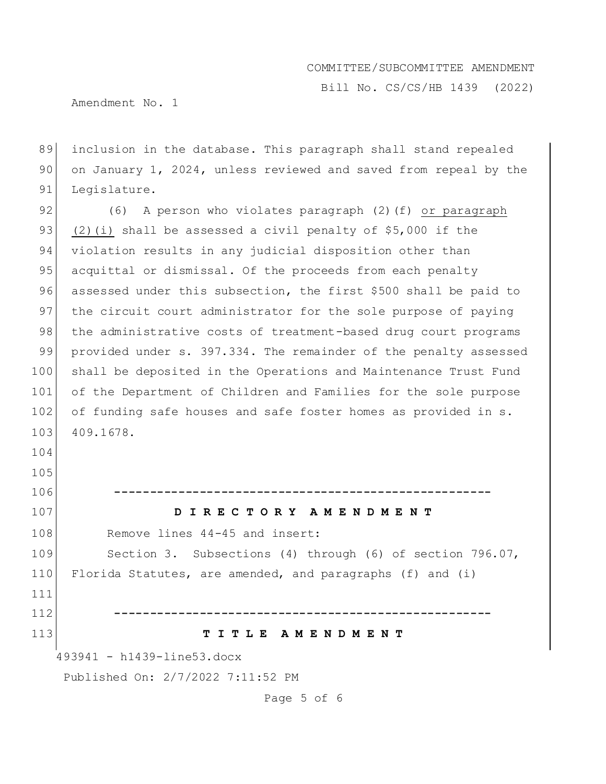Bill No. CS/CS/HB 1439 (2022)

Amendment No. 1

89 inclusion in the database. This paragraph shall stand repealed 90 on January 1, 2024, unless reviewed and saved from repeal by the 91 Legislature.

92 (6) A person who violates paragraph (2)(f) or paragraph 93 (2)(i) shall be assessed a civil penalty of  $$5,000$  if the 94 violation results in any judicial disposition other than 95 acquittal or dismissal. Of the proceeds from each penalty 96 assessed under this subsection, the first \$500 shall be paid to 97 the circuit court administrator for the sole purpose of paying 98 the administrative costs of treatment-based drug court programs 99 provided under s. 397.334. The remainder of the penalty assessed 100 shall be deposited in the Operations and Maintenance Trust Fund 101 of the Department of Children and Families for the sole purpose 102 of funding safe houses and safe foster homes as provided in s. 103 409.1678.

105 106 **-----------------------------------------------------** 107 **D I R E C T O R Y A M E N D M E N T** 108 Remove lines 44-45 and insert: 109 Section 3. Subsections (4) through (6) of section 796.07, 110 Florida Statutes, are amended, and paragraphs (f) and (i) 111 112 **-----------------------------------------------------**

#### 113 **T I T L E A M E N D M E N T**

493941 - h1439-line53.docx

104

Published On: 2/7/2022 7:11:52 PM

Page 5 of 6